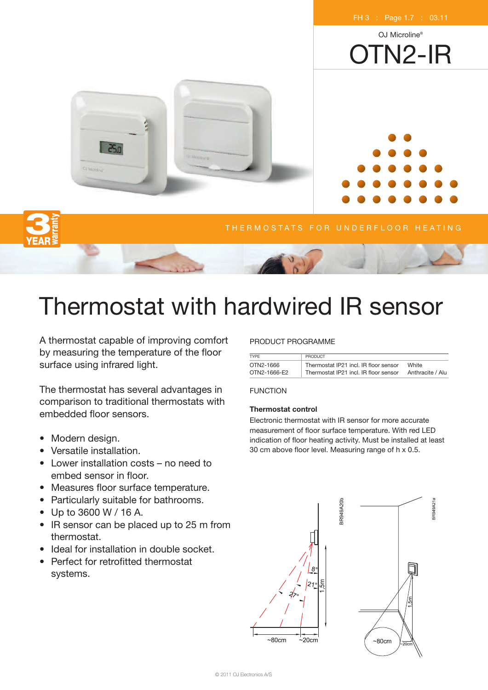

# Thermostat with hardwired IR sensor

A thermostat capable of improving comfort by measuring the temperature of the floor surface using infrared light.

The thermostat has several advantages in comparison to traditional thermostats with embedded floor sensors.

- Modern design.
- Versatile installation.
- Lower installation costs no need to embed sensor in floor.
- Measures floor surface temperature.
- Particularly suitable for bathrooms.
- Up to 3600 W / 16 A.
- IR sensor can be placed up to 25 m from thermostat.
- Ideal for installation in double socket.
- Perfect for retrofitted thermostat systems.

# PRODUCT PROGRAMME

| TYPE         | <b>PRODUCT</b>                        |                  |
|--------------|---------------------------------------|------------------|
| OTN2-1666    | Thermostat IP21 incl. IR floor sensor | White            |
| OTN2-1666-E2 | Thermostat IP21 incl. IR floor sensor | Anthracite / Alu |

## FUNCTION

## **Thermostat control**

Electronic thermostat with IR sensor for more accurate measurement of floor surface temperature. With red LED indication of floor heating activity. Must be installed at least 30 cm above floor level. Measuring range of h x 0.5.